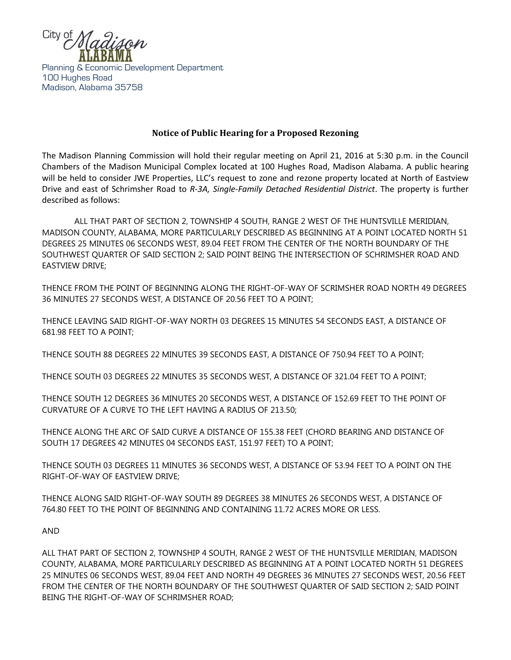

Planning & Economic Development Department 100 Hughes Road Madison, Alabama 35758

## **Notice of Public Hearing for a Proposed Rezoning**

The Madison Planning Commission will hold their regular meeting on April 21, 2016 at 5:30 p.m. in the Council Chambers of the Madison Municipal Complex located at 100 Hughes Road, Madison Alabama. A public hearing will be held to consider JWE Properties, LLC's request to zone and rezone property located at North of Eastview Drive and east of Schrimsher Road to *R-3A, Single-Family Detached Residential District*. The property is further described as follows:

ALL THAT PART OF SECTION 2, TOWNSHIP 4 SOUTH, RANGE 2 WEST OF THE HUNTSVILLE MERIDIAN, MADISON COUNTY, ALABAMA, MORE PARTICULARLY DESCRIBED AS BEGINNING AT A POINT LOCATED NORTH 51 DEGREES 25 MINUTES 06 SECONDS WEST, 89.04 FEET FROM THE CENTER OF THE NORTH BOUNDARY OF THE SOUTHWEST QUARTER OF SAID SECTION 2; SAID POINT BEING THE INTERSECTION OF SCHRIMSHER ROAD AND EASTVIEW DRIVE;

THENCE FROM THE POINT OF BEGINNING ALONG THE RIGHT-OF-WAY OF SCRIMSHER ROAD NORTH 49 DEGREES 36 MINUTES 27 SECONDS WEST, A DISTANCE OF 20.56 FEET TO A POINT;

THENCE LEAVING SAID RIGHT-OF-WAY NORTH 03 DEGREES 15 MINUTES 54 SECONDS EAST, A DISTANCE OF 681.98 FEET TO A POINT;

THENCE SOUTH 88 DEGREES 22 MINUTES 39 SECONDS EAST, A DISTANCE OF 750.94 FEET TO A POINT;

THENCE SOUTH 03 DEGREES 22 MINUTES 35 SECONDS WEST, A DISTANCE OF 321.04 FEET TO A POINT;

THENCE SOUTH 12 DEGREES 36 MINUTES 20 SECONDS WEST, A DISTANCE OF 152.69 FEET TO THE POINT OF CURVATURE OF A CURVE TO THE LEFT HAVING A RADIUS OF 213.50;

THENCE ALONG THE ARC OF SAID CURVE A DISTANCE OF 155.38 FEET (CHORD BEARING AND DISTANCE OF SOUTH 17 DEGREES 42 MINUTES 04 SECONDS EAST, 151.97 FEET) TO A POINT;

THENCE SOUTH 03 DEGREES 11 MINUTES 36 SECONDS WEST, A DISTANCE OF 53.94 FEET TO A POINT ON THE RIGHT-OF-WAY OF EASTVIEW DRIVE;

THENCE ALONG SAID RIGHT-OF-WAY SOUTH 89 DEGREES 38 MINUTES 26 SECONDS WEST, A DISTANCE OF 764.80 FEET TO THE POINT OF BEGINNING AND CONTAINING 11.72 ACRES MORE OR LESS.

AND

ALL THAT PART OF SECTION 2, TOWNSHIP 4 SOUTH, RANGE 2 WEST OF THE HUNTSVILLE MERIDIAN, MADISON COUNTY, ALABAMA, MORE PARTICULARLY DESCRIBED AS BEGINNING AT A POINT LOCATED NORTH 51 DEGREES 25 MINUTES 06 SECONDS WEST, 89.04 FEET AND NORTH 49 DEGREES 36 MINUTES 27 SECONDS WEST, 20.56 FEET FROM THE CENTER OF THE NORTH BOUNDARY OF THE SOUTHWEST QUARTER OF SAID SECTION 2; SAID POINT BEING THE RIGHT-OF-WAY OF SCHRIMSHER ROAD;